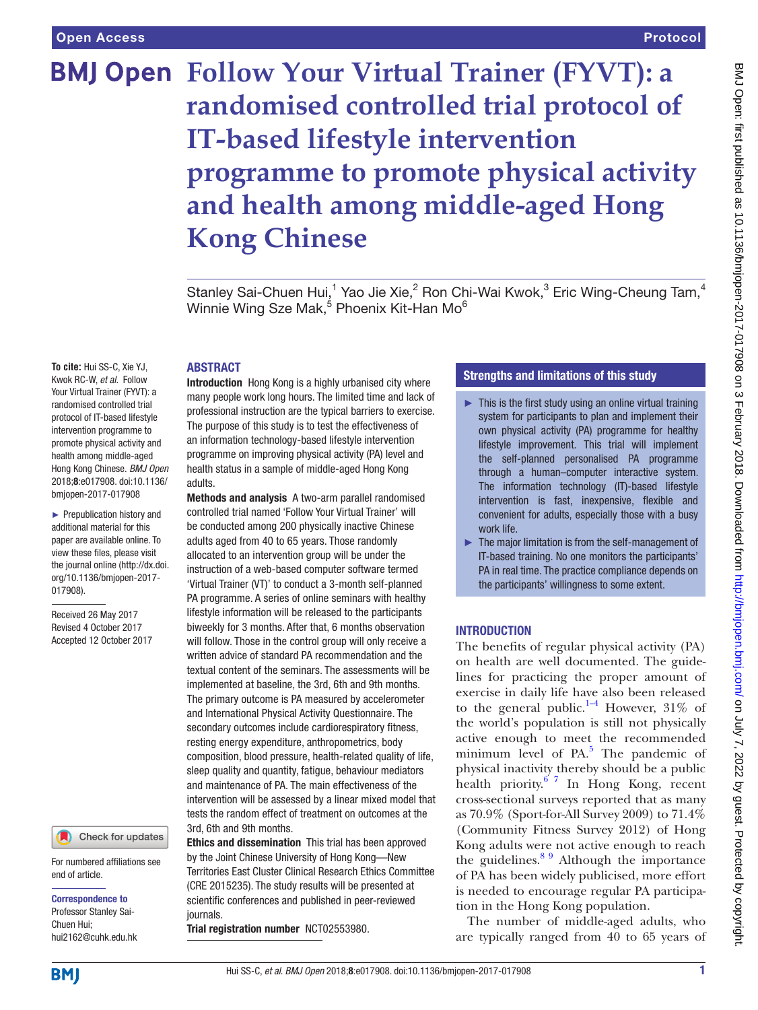# **BMJ Open Follow Your Virtual Trainer (FYVT): a randomised controlled trial protocol of IT-based lifestyle intervention programme to promote physical activity and health among middle-aged Hong Kong Chinese**

Stanley Sai-Chuen Hui,<sup>1</sup> Yao Jie Xie,<sup>2</sup> Ron Chi-Wai Kwok,<sup>3</sup> Eric Wing-Cheung Tam,<sup>4</sup> Winnie Wing Sze Mak,<sup>5</sup> Phoenix Kit-Han Mo<sup>6</sup>

#### **ABSTRACT**

**To cite:** Hui SS-C, Xie YJ, Kwok RC-W, *et al*. Follow Your Virtual Trainer (FYVT): a randomised controlled trial protocol of IT-based lifestyle intervention programme to promote physical activity and health among middle-aged Hong Kong Chinese. *BMJ Open* 2018;8:e017908. doi:10.1136/ bmjopen-2017-017908

► Prepublication history and additional material for this paper are available online. To view these files, please visit the journal online [\(http://dx.doi.](http://dx.doi.org/10.1136/bmjopen-2017-017908) [org/10.1136/bmjopen-2017-](http://dx.doi.org/10.1136/bmjopen-2017-017908) [017908\)](http://dx.doi.org/10.1136/bmjopen-2017-017908).

Received 26 May 2017 Revised 4 October 2017 Accepted 12 October 2017

#### Check for updates

For numbered affiliations see end of article.

#### Correspondence to

Professor Stanley Sai-Chuen Hui; hui2162@cuhk.edu.hk Introduction Hong Kong is a highly urbanised city where many people work long hours. The limited time and lack of professional instruction are the typical barriers to exercise. The purpose of this study is to test the effectiveness of an information technology-based lifestyle intervention programme on improving physical activity (PA) level and health status in a sample of middle-aged Hong Kong adults.

Methods and analysis A two-arm parallel randomised controlled trial named 'Follow Your Virtual Trainer' will be conducted among 200 physically inactive Chinese adults aged from 40 to 65 years. Those randomly allocated to an intervention group will be under the instruction of a web-based computer software termed 'Virtual Trainer (VT)' to conduct a 3-month self-planned PA programme. A series of online seminars with healthy lifestyle information will be released to the participants biweekly for 3 months. After that, 6 months observation will follow. Those in the control group will only receive a written advice of standard PA recommendation and the textual content of the seminars. The assessments will be implemented at baseline, the 3rd, 6th and 9th months. The primary outcome is PA measured by accelerometer and International Physical Activity Questionnaire. The secondary outcomes include cardiorespiratory fitness. resting energy expenditure, anthropometrics, body composition, blood pressure, health-related quality of life, sleep quality and quantity, fatigue, behaviour mediators and maintenance of PA. The main effectiveness of the intervention will be assessed by a linear mixed model that tests the random effect of treatment on outcomes at the 3rd, 6th and 9th months.

Ethics and dissemination This trial has been approved by the Joint Chinese University of Hong Kong—New Territories East Cluster Clinical Research Ethics Committee (CRE 2015235). The study results will be presented at scientific conferences and published in peer-reviewed journals.

Trial registration number [NCT02553980.](NCT02553980)

# Strengths and limitations of this study

- $\blacktriangleright$  This is the first study using an online virtual training system for participants to plan and implement their own physical activity (PA) programme for healthy lifestyle improvement. This trial will implement the self-planned personalised PA programme through a human–computer interactive system. The information technology (IT)-based lifestyle intervention is fast, inexpensive, flexible and convenient for adults, especially those with a busy work life.
- ► The major limitation is from the self-management of IT-based training. No one monitors the participants' PA in real time. The practice compliance depends on the participants' willingness to some extent.

#### **INTRODUCTION**

The benefits of regular physical activity (PA) on health are well documented. The guidelines for practicing the proper amount of exercise in daily life have also been released to the general public.<sup>[1–4](#page-7-0)</sup> However, 31% of the world's population is still not physically active enough to meet the recommended minimum level of  $PA$ <sup>[5](#page-7-1)</sup>. The pandemic of physical inactivity thereby should be a public health priority. $6^{7}$  In Hong Kong, recent cross-sectional surveys reported that as many as 70.9% (Sport-for-All Survey 2009) to 71.4% (Community Fitness Survey 2012) of Hong Kong adults were not active enough to reach the guidelines. $89$  Although the importance of PA has been widely publicised, more effort is needed to encourage regular PA participation in the Hong Kong population.

The number of middle-aged adults, who are typically ranged from 40 to 65 years of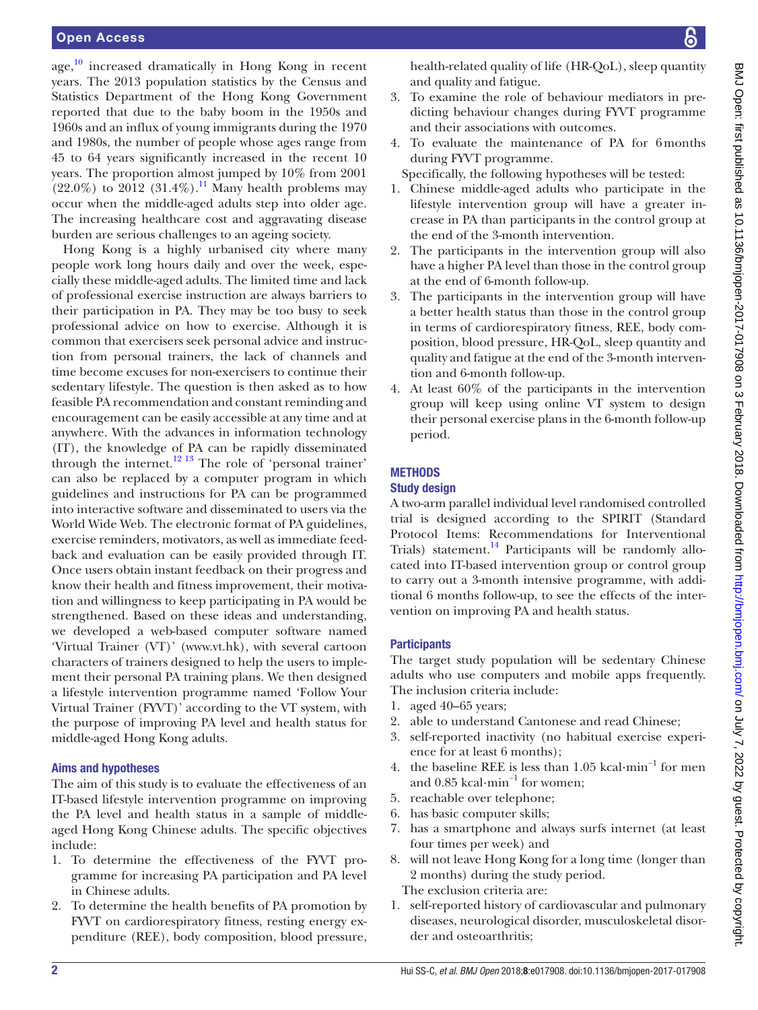age,<sup>10</sup> increased dramatically in Hong Kong in recent years. The 2013 population statistics by the Census and Statistics Department of the Hong Kong Government reported that due to the baby boom in the 1950s and 1960s and an influx of young immigrants during the 1970 and 1980s, the number of people whose ages range from 45 to 64 years significantly increased in the recent 10 years. The proportion almost jumped by 10% from 2001  $(22.0\%)$  to 2012  $(31.4\%)$ .<sup>11</sup> Many health problems may occur when the middle-aged adults step into older age. The increasing healthcare cost and aggravating disease burden are serious challenges to an ageing society.

Hong Kong is a highly urbanised city where many people work long hours daily and over the week, especially these middle-aged adults. The limited time and lack of professional exercise instruction are always barriers to their participation in PA. They may be too busy to seek professional advice on how to exercise. Although it is common that exercisers seek personal advice and instruction from personal trainers, the lack of channels and time become excuses for non-exercisers to continue their sedentary lifestyle. The question is then asked as to how feasible PA recommendation and constant reminding and encouragement can be easily accessible at any time and at anywhere. With the advances in information technology (IT), the knowledge of PA can be rapidly disseminated through the internet.<sup>[12 13](#page-7-6)</sup> The role of 'personal trainer' can also be replaced by a computer program in which guidelines and instructions for PA can be programmed into interactive software and disseminated to users via the World Wide Web. The electronic format of PA guidelines, exercise reminders, motivators, as well as immediate feedback and evaluation can be easily provided through IT. Once users obtain instant feedback on their progress and know their health and fitness improvement, their motivation and willingness to keep participating in PA would be strengthened. Based on these ideas and understanding, we developed a web-based computer software named 'Virtual Trainer (VT)' [\(www.vt.hk](www.vt.hk)), with several cartoon characters of trainers designed to help the users to implement their personal PA training plans. We then designed a lifestyle intervention programme named 'Follow Your Virtual Trainer (FYVT)' according to the VT system, with the purpose of improving PA level and health status for middle-aged Hong Kong adults.

#### Aims and hypotheses

The aim of this study is to evaluate the effectiveness of an IT-based lifestyle intervention programme on improving the PA level and health status in a sample of middleaged Hong Kong Chinese adults. The specific objectives include:

- 1. To determine the effectiveness of the FYVT programme for increasing PA participation and PA level in Chinese adults.
- 2. To determine the health benefits of PA promotion by FYVT on cardiorespiratory fitness, resting energy expenditure (REE), body composition, blood pressure,

health-related quality of life (HR-QoL), sleep quantity and quality and fatigue.

- 3. To examine the role of behaviour mediators in predicting behaviour changes during FYVT programme and their associations with outcomes.
- 4. To evaluate the maintenance of PA for 6months during FYVT programme.

Specifically, the following hypotheses will be tested:

- 1. Chinese middle-aged adults who participate in the lifestyle intervention group will have a greater increase in PA than participants in the control group at the end of the 3-month intervention.
- 2. The participants in the intervention group will also have a higher PA level than those in the control group at the end of 6-month follow-up.
- 3. The participants in the intervention group will have a better health status than those in the control group in terms of cardiorespiratory fitness, REE, body composition, blood pressure, HR-QoL, sleep quantity and quality and fatigue at the end of the 3-month intervention and 6-month follow-up.
- 4. At least 60% of the participants in the intervention group will keep using online VT system to design their personal exercise plans in the 6-month follow-up period.

### **METHODS**

#### Study design

A two-arm parallel individual level randomised controlled trial is designed according to the SPIRIT (Standard Protocol Items: Recommendations for Interventional Trials) statement.<sup>14</sup> Participants will be randomly allocated into IT-based intervention group or control group to carry out a 3-month intensive programme, with additional 6 months follow-up, to see the effects of the intervention on improving PA and health status.

#### **Participants**

The target study population will be sedentary Chinese adults who use computers and mobile apps frequently. The inclusion criteria include:

- 1. aged 40–65 years;
- 2. able to understand Cantonese and read Chinese;
- 3. self-reported inactivity (no habitual exercise experience for at least 6 months);
- 4. the baseline REE is less than 1.05 kcal·min−1 for men and 0.85 kcal·min−1 for women;
- 5. reachable over telephone;
- 6. has basic computer skills;
- 7. has a smartphone and always surfs internet (at least four times per week) and
- 8. will not leave Hong Kong for a long time (longer than 2 months) during the study period. The exclusion criteria are:
- 1. self-reported history of cardiovascular and pulmonary diseases, neurological disorder, musculoskeletal disorder and osteoarthritis;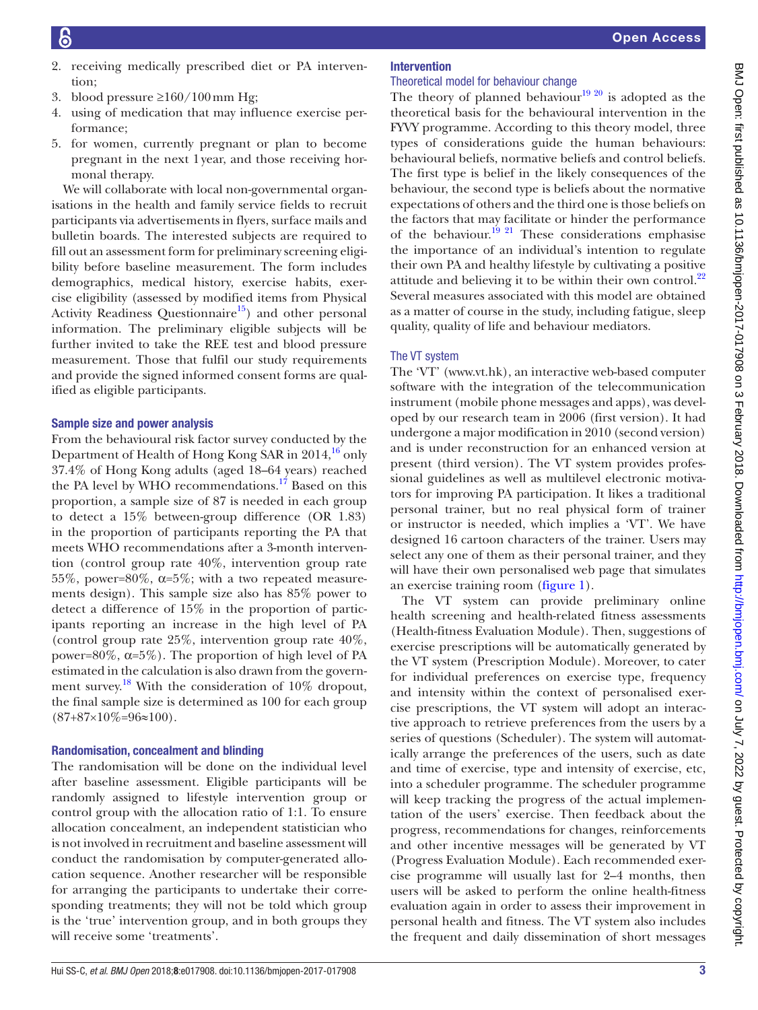- 2. receiving medically prescribed diet or PA intervention;
- 3. blood pressure ≥160/100 mm Hg;
- 4. using of medication that may influence exercise performance;
- 5. for women, currently pregnant or plan to become pregnant in the next 1year, and those receiving hormonal therapy.

We will collaborate with local non-governmental organisations in the health and family service fields to recruit participants via advertisements in flyers, surface mails and bulletin boards. The interested subjects are required to fill out an assessment form for preliminary screening eligibility before baseline measurement. The form includes demographics, medical history, exercise habits, exercise eligibility (assessed by modified items from Physical Activity Readiness Questionnaire<sup>15</sup>) and other personal information. The preliminary eligible subjects will be further invited to take the REE test and blood pressure measurement. Those that fulfil our study requirements and provide the signed informed consent forms are qualified as eligible participants.

#### Sample size and power analysis

From the behavioural risk factor survey conducted by the Department of Health of Hong Kong SAR in  $2014<sup>16</sup>$  $2014<sup>16</sup>$  $2014<sup>16</sup>$  only 37.4% of Hong Kong adults (aged 18–64 years) reached the PA level by WHO recommendations.<sup>[17](#page-8-3)</sup> Based on this proportion, a sample size of 87 is needed in each group to detect a 15% between-group difference (OR 1.83) in the proportion of participants reporting the PA that meets WHO recommendations after a 3-month intervention (control group rate 40%, intervention group rate 55%, power=80%,  $\alpha$ =5%; with a two repeated measurements design). This sample size also has 85% power to detect a difference of 15% in the proportion of participants reporting an increase in the high level of PA (control group rate 25%, intervention group rate 40%, power=80%, α=5%). The proportion of high level of PA estimated in the calculation is also drawn from the government survey.<sup>18</sup> With the consideration of 10% dropout, the final sample size is determined as 100 for each group  $(87+87\times10\% = 96 \approx 100)$ .

#### Randomisation, concealment and blinding

The randomisation will be done on the individual level after baseline assessment. Eligible participants will be randomly assigned to lifestyle intervention group or control group with the allocation ratio of 1:1. To ensure allocation concealment, an independent statistician who is not involved in recruitment and baseline assessment will conduct the randomisation by computer-generated allocation sequence. Another researcher will be responsible for arranging the participants to undertake their corresponding treatments; they will not be told which group is the 'true' intervention group, and in both groups they will receive some 'treatments'.

# Intervention

## Theoretical model for behaviour change

The theory of planned behaviour<sup>19 20</sup> is adopted as the theoretical basis for the behavioural intervention in the FYVY programme. According to this theory model, three types of considerations guide the human behaviours: behavioural beliefs, normative beliefs and control beliefs. The first type is belief in the likely consequences of the behaviour, the second type is beliefs about the normative expectations of others and the third one is those beliefs on the factors that may facilitate or hinder the performance of the behaviour.<sup>19 21</sup> These considerations emphasise the importance of an individual's intention to regulate their own PA and healthy lifestyle by cultivating a positive attitude and believing it to be within their own control. $^{22}$  $^{22}$  $^{22}$ Several measures associated with this model are obtained as a matter of course in the study, including fatigue, sleep quality, quality of life and behaviour mediators.

#### The VT system

The 'VT' (<www.vt.hk>), an interactive web-based computer software with the integration of the telecommunication instrument (mobile phone messages and apps), was developed by our research team in 2006 (first version). It had undergone a major modification in 2010 (second version) and is under reconstruction for an enhanced version at present (third version). The VT system provides professional guidelines as well as multilevel electronic motivators for improving PA participation. It likes a traditional personal trainer, but no real physical form of trainer or instructor is needed, which implies a 'VT'. We have designed 16 cartoon characters of the trainer. Users may select any one of them as their personal trainer, and they will have their own personalised web page that simulates an exercise training room [\(figure](#page-3-0) 1).

The VT system can provide preliminary online health screening and health-related fitness assessments (Health-fitness Evaluation Module). Then, suggestions of exercise prescriptions will be automatically generated by the VT system (Prescription Module). Moreover, to cater for individual preferences on exercise type, frequency and intensity within the context of personalised exercise prescriptions, the VT system will adopt an interactive approach to retrieve preferences from the users by a series of questions (Scheduler). The system will automatically arrange the preferences of the users, such as date and time of exercise, type and intensity of exercise, etc, into a scheduler programme. The scheduler programme will keep tracking the progress of the actual implementation of the users' exercise. Then feedback about the progress, recommendations for changes, reinforcements and other incentive messages will be generated by VT (Progress Evaluation Module). Each recommended exercise programme will usually last for 2–4 months, then users will be asked to perform the online health-fitness evaluation again in order to assess their improvement in personal health and fitness. The VT system also includes the frequent and daily dissemination of short messages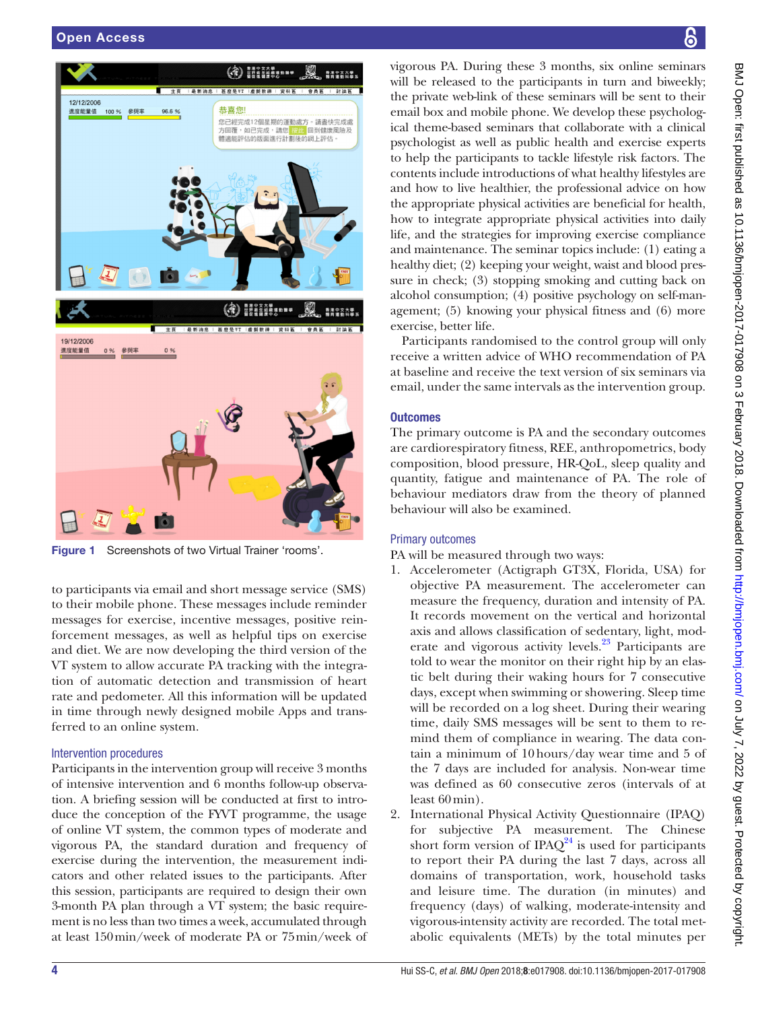

Figure 1 Screenshots of two Virtual Trainer 'rooms'.

<span id="page-3-0"></span>to participants via email and short message service (SMS) to their mobile phone. These messages include reminder messages for exercise, incentive messages, positive reinforcement messages, as well as helpful tips on exercise and diet. We are now developing the third version of the VT system to allow accurate PA tracking with the integration of automatic detection and transmission of heart rate and pedometer. All this information will be updated in time through newly designed mobile Apps and transferred to an online system.

#### Intervention procedures

Participants in the intervention group will receive 3 months of intensive intervention and 6 months follow-up observation. A briefing session will be conducted at first to introduce the conception of the FYVT programme, the usage of online VT system, the common types of moderate and vigorous PA, the standard duration and frequency of exercise during the intervention, the measurement indicators and other related issues to the participants. After this session, participants are required to design their own 3-month PA plan through a VT system; the basic requirement is no less than two times a week, accumulated through at least 150min/week of moderate PA or 75min/week of

vigorous PA. During these 3 months, six online seminars will be released to the participants in turn and biweekly; the private web-link of these seminars will be sent to their email box and mobile phone. We develop these psychological theme-based seminars that collaborate with a clinical psychologist as well as public health and exercise experts to help the participants to tackle lifestyle risk factors. The contents include introductions of what healthy lifestyles are and how to live healthier, the professional advice on how the appropriate physical activities are beneficial for health, how to integrate appropriate physical activities into daily life, and the strategies for improving exercise compliance and maintenance. The seminar topics include: (1) eating a healthy diet; (2) keeping your weight, waist and blood pressure in check; (3) stopping smoking and cutting back on alcohol consumption; (4) positive psychology on self-management; (5) knowing your physical fitness and (6) more exercise, better life.

Participants randomised to the control group will only receive a written advice of WHO recommendation of PA at baseline and receive the text version of six seminars via email, under the same intervals as the intervention group.

#### **Outcomes**

The primary outcome is PA and the secondary outcomes are cardiorespiratory fitness, REE, anthropometrics, body composition, blood pressure, HR-QoL, sleep quality and quantity, fatigue and maintenance of PA. The role of behaviour mediators draw from the theory of planned behaviour will also be examined.

#### Primary outcomes

PA will be measured through two ways:

- 1. Accelerometer (Actigraph GT3X, Florida, USA) for objective PA measurement. The accelerometer can measure the frequency, duration and intensity of PA. It records movement on the vertical and horizontal axis and allows classification of sedentary, light, moderate and vigorous activity levels.<sup>23</sup> Participants are told to wear the monitor on their right hip by an elastic belt during their waking hours for 7 consecutive days, except when swimming or showering. Sleep time will be recorded on a log sheet. During their wearing time, daily SMS messages will be sent to them to remind them of compliance in wearing. The data contain a minimum of 10hours/day wear time and 5 of the 7 days are included for analysis. Non-wear time was defined as 60 consecutive zeros (intervals of at least 60min).
- 2. International Physical Activity Questionnaire (IPAQ) for subjective PA measurement. The Chinese short form version of IPAQ $^{24}$  $^{24}$  $^{24}$  is used for participants to report their PA during the last 7 days, across all domains of transportation, work, household tasks and leisure time. The duration (in minutes) and frequency (days) of walking, moderate-intensity and vigorous-intensity activity are recorded. The total metabolic equivalents (METs) by the total minutes per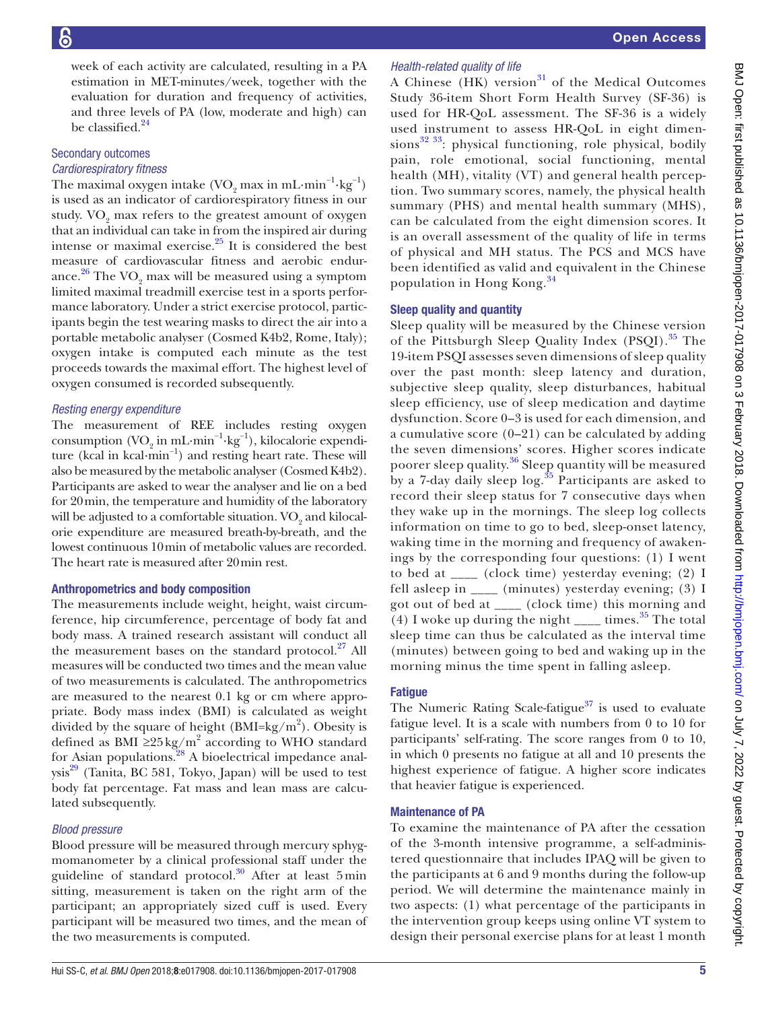week of each activity are calculated, resulting in a PA estimation in MET-minutes/week, together with the evaluation for duration and frequency of activities, and three levels of PA (low, moderate and high) can be classified.<sup>[24](#page-8-8)</sup>

#### Secondary outcomes *Cardiorespiratory fitness*

The maximal oxygen intake  $(\rm VO_{2}$  max in mL·min<sup>-1</sup>·kg<sup>-1</sup>) is used as an indicator of cardiorespiratory fitness in our study.  $\rm VO_{2}$  max refers to the greatest amount of oxygen that an individual can take in from the inspired air during intense or maximal exercise. $^{25}$  It is considered the best measure of cardiovascular fitness and aerobic endurance. $^{26}$  $^{26}$  $^{26}$  The VO<sub>2</sub> max will be measured using a symptom limited maximal treadmill exercise test in a sports performance laboratory. Under a strict exercise protocol, participants begin the test wearing masks to direct the air into a portable metabolic analyser (Cosmed K4b2, Rome, Italy); oxygen intake is computed each minute as the test proceeds towards the maximal effort. The highest level of oxygen consumed is recorded subsequently.

#### *Resting energy expenditure*

The measurement of REE includes resting oxygen consumption (VO<sub>2</sub> in mL·min<sup>-1</sup>·kg<sup>-1</sup>), kilocalorie expenditure (kcal in kcal·min−1) and resting heart rate. These will also be measured by the metabolic analyser (Cosmed K4b2). Participants are asked to wear the analyser and lie on a bed for 20min, the temperature and humidity of the laboratory will be adjusted to a comfortable situation.  $\mathrm{VO}_2$  and kilocalorie expenditure are measured breath-by-breath, and the lowest continuous 10min of metabolic values are recorded. The heart rate is measured after 20min rest.

#### Anthropometrics and body composition

The measurements include weight, height, waist circumference, hip circumference, percentage of body fat and body mass. A trained research assistant will conduct all the measurement bases on the standard protocol. $27$  All measures will be conducted two times and the mean value of two measurements is calculated. The anthropometrics are measured to the nearest 0.1 kg or cm where appropriate. Body mass index (BMI) is calculated as weight divided by the square of height  $(BMI = kg/m^2)$ . Obesity is defined as BMI  $\geq$ 25 kg/m<sup>2</sup> according to WHO standard for Asian populations.<sup>[28](#page-8-12)</sup> A bioelectrical impedance anal $ysis<sup>29</sup>$  (Tanita, BC 581, Tokyo, Japan) will be used to test body fat percentage. Fat mass and lean mass are calculated subsequently.

#### *Blood pressure*

Blood pressure will be measured through mercury sphygmomanometer by a clinical professional staff under the guideline of standard protocol.<sup>30</sup> After at least 5min sitting, measurement is taken on the right arm of the participant; an appropriately sized cuff is used. Every participant will be measured two times, and the mean of the two measurements is computed.

#### *Health-related quality of life*

A Chinese  $(HK)$  version<sup>31</sup> of the Medical Outcomes Study 36-item Short Form Health Survey (SF-36) is used for HR-QoL assessment. The SF-36 is a widely used instrument to assess HR-QoL in eight dimensions $32$ <sup>33</sup>: physical functioning, role physical, bodily pain, role emotional, social functioning, mental health (MH), vitality (VT) and general health perception. Two summary scores, namely, the physical health summary (PHS) and mental health summary (MHS), can be calculated from the eight dimension scores. It is an overall assessment of the quality of life in terms of physical and MH status. The PCS and MCS have been identified as valid and equivalent in the Chinese population in Hong Kong.[34](#page-8-17)

#### Sleep quality and quantity

Sleep quality will be measured by the Chinese version of the Pittsburgh Sleep Quality Index (PSQI).<sup>35</sup> The 19-item PSQI assesses seven dimensions of sleep quality over the past month: sleep latency and duration, subjective sleep quality, sleep disturbances, habitual sleep efficiency, use of sleep medication and daytime dysfunction. Score 0–3 is used for each dimension, and a cumulative score  $(0-21)$  can be calculated by adding the seven dimensions' scores. Higher scores indicate poorer sleep quality.[36](#page-8-19) Sleep quantity will be measured by a 7-day daily sleep  $\log$ <sup>[35](#page-8-18)</sup> Participants are asked to record their sleep status for 7 consecutive days when they wake up in the mornings. The sleep log collects information on time to go to bed, sleep-onset latency, waking time in the morning and frequency of awakenings by the corresponding four questions: (1) I went to bed at \_\_\_\_ (clock time) yesterday evening; (2) I fell asleep in \_\_\_\_ (minutes) yesterday evening; (3) I got out of bed at \_\_\_\_ (clock time) this morning and (4) I woke up during the night  $\frac{1}{\sqrt{2}}$  times.<sup>[35](#page-8-18)</sup> The total sleep time can thus be calculated as the interval time (minutes) between going to bed and waking up in the morning minus the time spent in falling asleep.

#### **Fatique**

The Numeric Rating Scale-fatigue $37$  is used to evaluate fatigue level. It is a scale with numbers from 0 to 10 for participants' self-rating. The score ranges from 0 to 10, in which 0 presents no fatigue at all and 10 presents the highest experience of fatigue. A higher score indicates that heavier fatigue is experienced.

#### Maintenance of PA

To examine the maintenance of PA after the cessation of the 3-month intensive programme, a self-administered questionnaire that includes IPAQ will be given to the participants at 6 and 9 months during the follow-up period. We will determine the maintenance mainly in two aspects: (1) what percentage of the participants in the intervention group keeps using online VT system to design their personal exercise plans for at least 1 month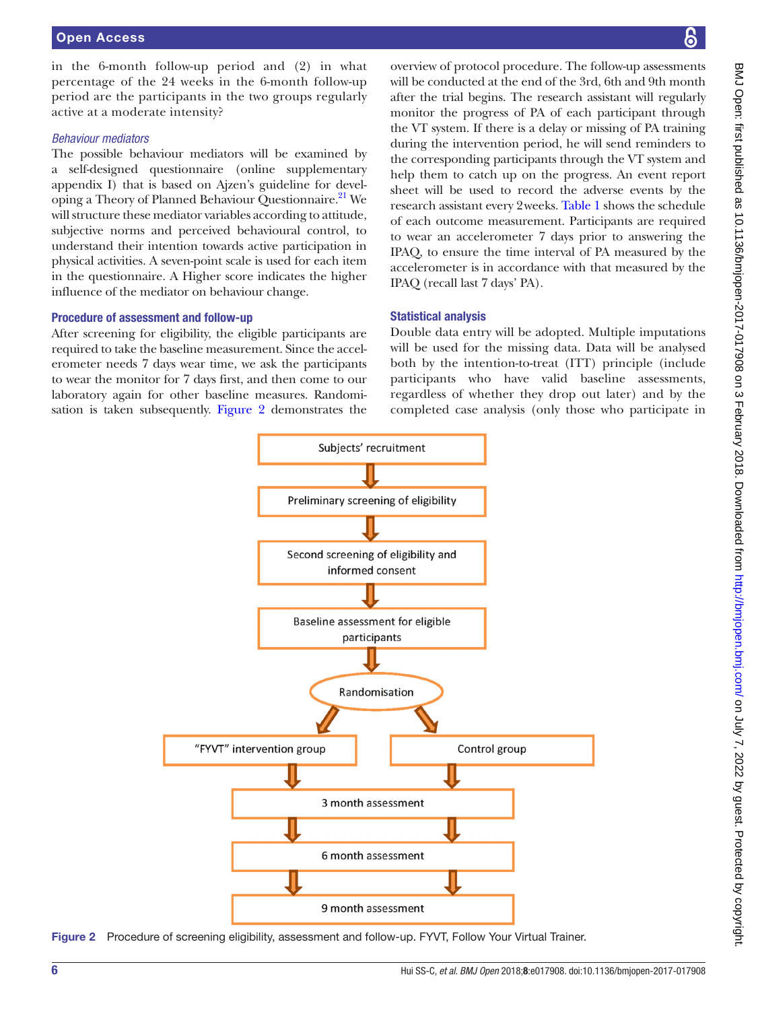in the 6-month follow-up period and (2) in what percentage of the 24 weeks in the 6-month follow-up period are the participants in the two groups regularly active at a moderate intensity?

#### *Behaviour mediators*

The possible behaviour mediators will be examined by a self-designed questionnaire (online [supplementary](https://dx.doi.org/10.1136/bmjopen-2017-017908) [appendix](https://dx.doi.org/10.1136/bmjopen-2017-017908) I) that is based on Ajzen's guideline for developing a Theory of Planned Behaviour Questionnaire.<sup>21</sup> We will structure these mediator variables according to attitude, subjective norms and perceived behavioural control, to understand their intention towards active participation in physical activities. A seven-point scale is used for each item in the questionnaire. A Higher score indicates the higher influence of the mediator on behaviour change.

#### Procedure of assessment and follow-up

After screening for eligibility, the eligible participants are required to take the baseline measurement. Since the accelerometer needs 7 days wear time, we ask the participants to wear the monitor for 7 days first, and then come to our laboratory again for other baseline measures. Randomisation is taken subsequently. [Figure](#page-5-0) 2 demonstrates the

overview of protocol procedure. The follow-up assessments will be conducted at the end of the 3rd, 6th and 9th month after the trial begins. The research assistant will regularly monitor the progress of PA of each participant through the VT system. If there is a delay or missing of PA training during the intervention period, he will send reminders to the corresponding participants through the VT system and help them to catch up on the progress. An event report sheet will be used to record the adverse events by the research assistant every 2weeks. [Table](#page-6-0) 1 shows the schedule of each outcome measurement. Participants are required to wear an accelerometer 7 days prior to answering the IPAQ, to ensure the time interval of PA measured by the accelerometer is in accordance with that measured by the IPAQ (recall last 7 days' PA).

#### Statistical analysis

Double data entry will be adopted. Multiple imputations will be used for the missing data. Data will be analysed both by the intention-to-treat (ITT) principle (include participants who have valid baseline assessments, regardless of whether they drop out later) and by the completed case analysis (only those who participate in



<span id="page-5-0"></span>Figure 2 Procedure of screening eligibility, assessment and follow-up. FYVT, Follow Your Virtual Trainer.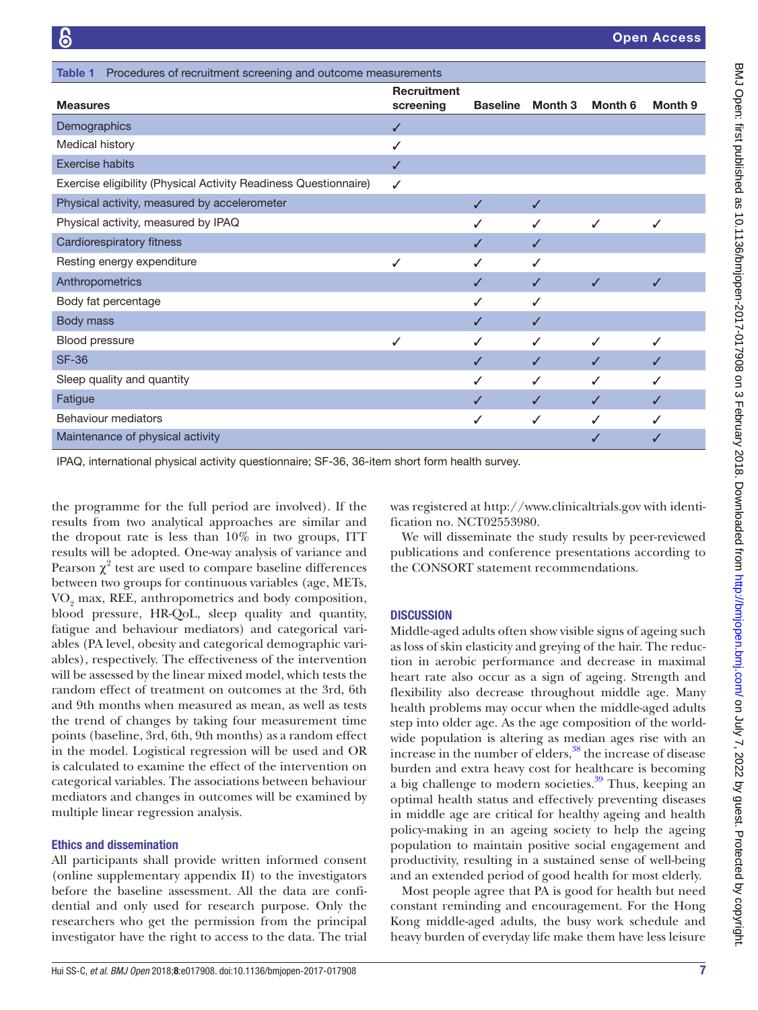<span id="page-6-0"></span>

| Procedures of recruitment screening and outcome measurements<br>Table 1 |                                 |                 |         |              |              |
|-------------------------------------------------------------------------|---------------------------------|-----------------|---------|--------------|--------------|
| <b>Measures</b>                                                         | <b>Recruitment</b><br>screening | <b>Baseline</b> | Month 3 | Month 6      | Month 9      |
| Demographics                                                            | ✓                               |                 |         |              |              |
| Medical history                                                         | ✓                               |                 |         |              |              |
| <b>Exercise habits</b>                                                  | ✓                               |                 |         |              |              |
| Exercise eligibility (Physical Activity Readiness Questionnaire)        | ✓                               |                 |         |              |              |
| Physical activity, measured by accelerometer                            |                                 |                 | J       |              |              |
| Physical activity, measured by IPAQ                                     |                                 |                 | ✓       | ✓            | ✓            |
| Cardiorespiratory fitness                                               |                                 |                 | ✓       |              |              |
| Resting energy expenditure                                              | J                               |                 |         |              |              |
| Anthropometrics                                                         |                                 |                 | J       | $\checkmark$ | J            |
| Body fat percentage                                                     |                                 |                 | ✓       |              |              |
| Body mass                                                               |                                 | ✓               | J       |              |              |
| Blood pressure                                                          | ✓                               |                 | ✓       | ✓            | ✓            |
| <b>SF-36</b>                                                            |                                 | ✓               | ✓       | ✓            | ✓            |
| Sleep quality and quantity                                              |                                 | ✓               | ✓       | ✓            | $\checkmark$ |
| Fatigue                                                                 |                                 | ✓               | ✓       | ✓            | J            |
| Behaviour mediators                                                     |                                 | ✓               | ✓       | ✓            |              |
| Maintenance of physical activity                                        |                                 |                 |         | ✓            |              |

IPAQ, international physical activity questionnaire; SF-36, 36-item short form health survey.

the programme for the full period are involved). If the results from two analytical approaches are similar and the dropout rate is less than 10% in two groups, ITT results will be adopted. One-way analysis of variance and Pearson  $\chi^2$  test are used to compare baseline differences between two groups for continuous variables (age, METs,  $\rm VO_{2}$  max, REE, anthropometrics and body composition, blood pressure, HR-QoL, sleep quality and quantity, fatigue and behaviour mediators) and categorical variables (PA level, obesity and categorical demographic variables), respectively. The effectiveness of the intervention will be assessed by the linear mixed model, which tests the random effect of treatment on outcomes at the 3rd, 6th and 9th months when measured as mean, as well as tests the trend of changes by taking four measurement time points (baseline, 3rd, 6th, 9th months) as a random effect in the model. Logistical regression will be used and OR is calculated to examine the effect of the intervention on categorical variables. The associations between behaviour mediators and changes in outcomes will be examined by multiple linear regression analysis.

#### Ethics and dissemination

All participants shall provide written informed consent (online [supplementary appendix](https://dx.doi.org/10.1136/bmjopen-2017-017908) II) to the investigators before the baseline assessment. All the data are confidential and only used for research purpose. Only the researchers who get the permission from the principal investigator have the right to access to the data. The trial

was registered at<http://www.clinicaltrials.gov>with identification no. NCT02553980.

We will disseminate the study results by peer-reviewed publications and conference presentations according to the CONSORT statement recommendations.

#### **DISCUSSION**

Middle-aged adults often show visible signs of ageing such as loss of skin elasticity and greying of the hair. The reduction in aerobic performance and decrease in maximal heart rate also occur as a sign of ageing. Strength and flexibility also decrease throughout middle age. Many health problems may occur when the middle-aged adults step into older age. As the age composition of the worldwide population is altering as median ages rise with an increase in the number of elders,<sup>[38](#page-8-22)</sup> the increase of disease burden and extra heavy cost for healthcare is becoming a big challenge to modern societies.<sup>39</sup> Thus, keeping an optimal health status and effectively preventing diseases in middle age are critical for healthy ageing and health policy-making in an ageing society to help the ageing population to maintain positive social engagement and productivity, resulting in a sustained sense of well-being and an extended period of good health for most elderly.

Most people agree that PA is good for health but need constant reminding and encouragement. For the Hong Kong middle-aged adults, the busy work schedule and heavy burden of everyday life make them have less leisure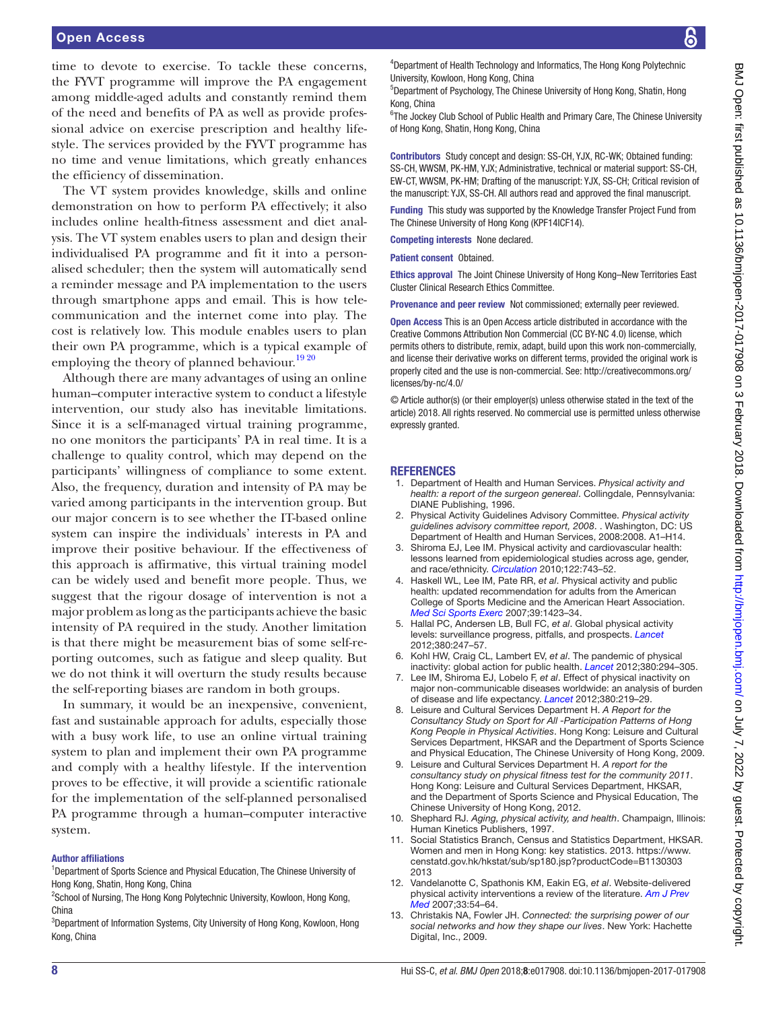time to devote to exercise. To tackle these concerns, the FYVT programme will improve the PA engagement among middle-aged adults and constantly remind them of the need and benefits of PA as well as provide professional advice on exercise prescription and healthy lifestyle. The services provided by the FYVT programme has no time and venue limitations, which greatly enhances the efficiency of dissemination.

The VT system provides knowledge, skills and online demonstration on how to perform PA effectively; it also includes online health-fitness assessment and diet analysis. The VT system enables users to plan and design their individualised PA programme and fit it into a personalised scheduler; then the system will automatically send a reminder message and PA implementation to the users through smartphone apps and email. This is how telecommunication and the internet come into play. The cost is relatively low. This module enables users to plan their own PA programme, which is a typical example of employing the theory of planned behaviour.<sup>19 20</sup>

Although there are many advantages of using an online human–computer interactive system to conduct a lifestyle intervention, our study also has inevitable limitations. Since it is a self-managed virtual training programme, no one monitors the participants' PA in real time. It is a challenge to quality control, which may depend on the participants' willingness of compliance to some extent. Also, the frequency, duration and intensity of PA may be varied among participants in the intervention group. But our major concern is to see whether the IT-based online system can inspire the individuals' interests in PA and improve their positive behaviour. If the effectiveness of this approach is affirmative, this virtual training model can be widely used and benefit more people. Thus, we suggest that the rigour dosage of intervention is not a major problem as long as the participants achieve the basic intensity of PA required in the study. Another limitation is that there might be measurement bias of some self-reporting outcomes, such as fatigue and sleep quality. But we do not think it will overturn the study results because the self-reporting biases are random in both groups.

In summary, it would be an inexpensive, convenient, fast and sustainable approach for adults, especially those with a busy work life, to use an online virtual training system to plan and implement their own PA programme and comply with a healthy lifestyle. If the intervention proves to be effective, it will provide a scientific rationale for the implementation of the self-planned personalised PA programme through a human–computer interactive system.

#### Author affiliations

<sup>1</sup>Department of Sports Science and Physical Education, The Chinese University of Hong Kong, Shatin, Hong Kong, China

<sup>2</sup>School of Nursing, The Hong Kong Polytechnic University, Kowloon, Hong Kong, China

<sup>3</sup>Department of Information Systems, City University of Hong Kong, Kowloon, Hong Kong, China

4 Department of Health Technology and Informatics, The Hong Kong Polytechnic University, Kowloon, Hong Kong, China

5 Department of Psychology, The Chinese University of Hong Kong, Shatin, Hong Kong, China

<sup>6</sup>The Jockey Club School of Public Health and Primary Care, The Chinese University of Hong Kong, Shatin, Hong Kong, China

Contributors Study concept and design: SS-CH, YJX, RC-WK; Obtained funding: SS-CH, WWSM, PK-HM, YJX; Administrative, technical or material support: SS-CH, EW-CT, WWSM, PK-HM; Drafting of the manuscript: YJX, SS-CH; Critical revision of the manuscript: YJX, SS-CH. All authors read and approved the final manuscript.

Funding This study was supported by the Knowledge Transfer Project Fund from The Chinese University of Hong Kong (KPF14ICF14).

Competing interests None declared.

Patient consent Obtained.

Ethics approval The Joint Chinese University of Hong Kong–New Territories East Cluster Clinical Research Ethics Committee.

Provenance and peer review Not commissioned; externally peer reviewed.

Open Access This is an Open Access article distributed in accordance with the Creative Commons Attribution Non Commercial (CC BY-NC 4.0) license, which permits others to distribute, remix, adapt, build upon this work non-commercially, and license their derivative works on different terms, provided the original work is properly cited and the use is non-commercial. See: [http://creativecommons.org/](http://creativecommons.org/licenses/by-nc/4.0/) [licenses/by-nc/4.0/](http://creativecommons.org/licenses/by-nc/4.0/)

© Article author(s) (or their employer(s) unless otherwise stated in the text of the article) 2018. All rights reserved. No commercial use is permitted unless otherwise expressly granted.

#### **REFERENCES**

- <span id="page-7-0"></span>1. Department of Health and Human Services. *Physical activity and health: a report of the surgeon genereal*. Collingdale, Pennsylvania: DIANE Publishing, 1996.
- 2. Physical Activity Guidelines Advisory Committee. *Physical activity guidelines advisory committee report, 2008*. . Washington, DC: US Department of Health and Human Services, 2008:2008. A1–H14.
- 3. Shiroma EJ, Lee IM. Physical activity and cardiovascular health: lessons learned from epidemiological studies across age, gender, and race/ethnicity. *[Circulation](http://dx.doi.org/10.1161/CIRCULATIONAHA.109.914721)* 2010;122:743–52.
- 4. Haskell WL, Lee IM, Pate RR, *et al*. Physical activity and public health: updated recommendation for adults from the American College of Sports Medicine and the American Heart Association. *[Med Sci Sports Exerc](http://dx.doi.org/10.1249/mss.0b013e3180616b27)* 2007;39:1423–34.
- <span id="page-7-1"></span>5. Hallal PC, Andersen LB, Bull FC, *et al*. Global physical activity levels: surveillance progress, pitfalls, and prospects. *[Lancet](http://dx.doi.org/10.1016/S0140-6736(12)60646-1)* 2012;380:247–57.
- <span id="page-7-2"></span>6. Kohl HW, Craig CL, Lambert EV, *et al*. The pandemic of physical inactivity: global action for public health. *[Lancet](http://dx.doi.org/10.1016/S0140-6736(12)60898-8)* 2012;380:294–305.
- 7. Lee IM, Shiroma EJ, Lobelo F, *et al*. Effect of physical inactivity on major non-communicable diseases worldwide: an analysis of burden of disease and life expectancy. *[Lancet](http://dx.doi.org/10.1016/S0140-6736(12)61031-9)* 2012;380:219–29.
- <span id="page-7-3"></span>8. Leisure and Cultural Services Department H. *A Report for the Consultancy Study on Sport for All -Participation Patterns of Hong Kong People in Physical Activities*. Hong Kong: Leisure and Cultural Services Department, HKSAR and the Department of Sports Science and Physical Education, The Chinese University of Hong Kong, 2009.
- 9. Leisure and Cultural Services Department H. *A report for the consultancy study on physical fitness test for the community 2011*. Hong Kong: Leisure and Cultural Services Department, HKSAR, and the Department of Sports Science and Physical Education, The Chinese University of Hong Kong, 2012.
- <span id="page-7-4"></span>10. Shephard RJ. *Aging, physical activity, and health*. Champaign, Illinois: Human Kinetics Publishers, 1997.
- <span id="page-7-5"></span>11. Social Statistics Branch, Census and Statistics Department, HKSAR. Women and men in Hong Kong: key statistics. 2013. [https://www.](https://www.censtatd.gov.hk/hkstat/sub/sp180.jsp?productCode=B1130303 2013) [censtatd.gov.hk/hkstat/sub/sp180.jsp?productCode=B1130303](https://www.censtatd.gov.hk/hkstat/sub/sp180.jsp?productCode=B1130303 2013)  [2013](https://www.censtatd.gov.hk/hkstat/sub/sp180.jsp?productCode=B1130303 2013)
- <span id="page-7-6"></span>12. Vandelanotte C, Spathonis KM, Eakin EG, *et al*. Website-delivered physical activity interventions a review of the literature. *[Am J Prev](http://dx.doi.org/10.1016/j.amepre.2007.02.041)  [Med](http://dx.doi.org/10.1016/j.amepre.2007.02.041)* 2007;33:54–64.
- 13. Christakis NA, Fowler JH. *Connected: the surprising power of our social networks and how they shape our lives*. New York: Hachette Digital, Inc., 2009.